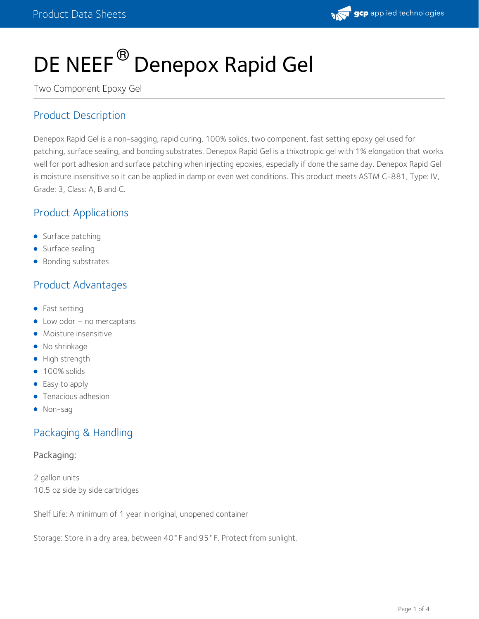

# DE NEEF<sup>®</sup> Denepox Rapid Gel

Two Component Epoxy Gel

## Product Description

Denepox Rapid Gel is a non-sagging, rapid curing, 100% solids, two component, fast setting epoxy gel used for patching, surface sealing, and bonding substrates. Denepox Rapid Gel is a thixotropic gel with 1% elongation that works well for port adhesion and surface patching when injecting epoxies, especially if done the same day. Denepox Rapid Gel is moisture insensitive so it can be applied in damp or even wet conditions. This product meets ASTM C-881, Type: IV, Grade: 3, Class: A, B and C.

## Product Applications

- Surface patching
- Surface sealing
- Bonding substrates

## Product Advantages

- Fast setting
- Low odor no mercaptans
- Moisture insensitive
- No shrinkage
- High strength
- 100% solids
- Easy to apply
- **•** Tenacious adhesion
- Non-sag

## Packaging & Handling

#### Packaging:

2 gallon units 10.5 oz side by side cartridges

Shelf Life: A minimum of 1 year in original, unopened container

Storage: Store in a dry area, between 40°F and 95°F. Protect from sunlight.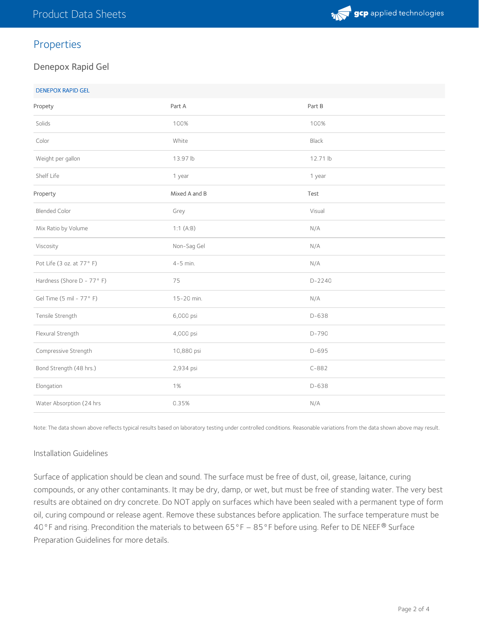

## Properties

#### Denepox Rapid Gel

| Propety                   | Part A        | Part B   |
|---------------------------|---------------|----------|
| Solids                    | 100%          | 100%     |
| Color                     | White         | Black    |
| Weight per gallon         | 13.97 lb      | 12.71 lb |
| Shelf Life                | 1 year        | 1 year   |
| Property                  | Mixed A and B | Test     |
| <b>Blended Color</b>      | Grey          | Visual   |
| Mix Ratio by Volume       | 1:1(A:B)      | N/A      |
| Viscosity                 | Non-Sag Gel   | N/A      |
| Pot Life (3 oz. at 77°F)  | $4-5$ min.    | N/A      |
| Hardness (Shore D - 77°F) | 75            | $D-2240$ |
| Gel Time (5 mil - 77°F)   | 15-20 min.    | N/A      |
| Tensile Strength          | 6,000 psi     | $D-638$  |
| Flexural Strength         | 4,000 psi     | $D-790$  |
| Compressive Strength      | 10,880 psi    | $D-695$  |
| Bond Strength (48 hrs.)   | 2,934 psi     | $C-882$  |
| Elongation                | 1%            | D-638    |
| Water Absorption (24 hrs  | 0.35%         | N/A      |

Note: The data shown above reflects typical results based on laboratory testing under controlled conditions. Reasonable variations from the data shown above may result.

#### Installation Guidelines

Surface of application should be clean and sound. The surface must be free of dust, oil, grease, laitance, curing compounds, or any other contaminants. It may be dry, damp, or wet, but must be free of standing water. The very best results are obtained on dry concrete. Do NOT apply on surfaces which have been sealed with a permanent type of form oil, curing compound or release agent. Remove these substances before application. The surface temperature must be 40°F and rising. Precondition the materials to between 65°F  $-$  85°F before using. Refer to DE NEEF® Surface Preparation Guidelines for more details.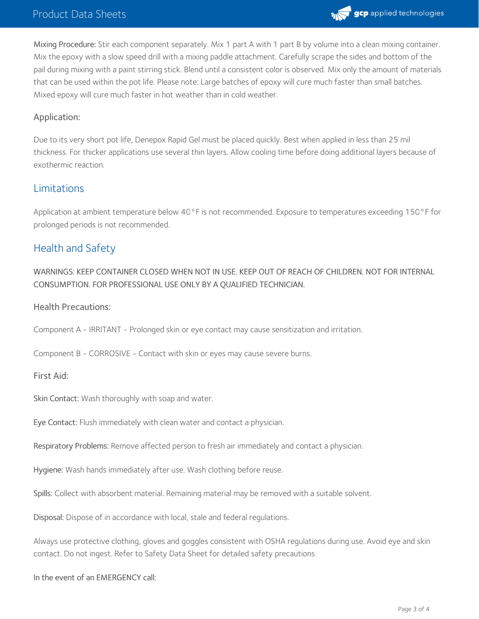

Mixing Procedure: Stir each component separately. Mix 1 part A with 1 part B by volume into a clean mixing container. Mix the epoxy with a slow speed drill with a mixing paddle attachment. Carefully scrape the sides and bottom of the pail during mixing with a paint stirring stick. Blend until a consistent color is observed. Mix only the amount of materials that can be used within the pot life. Please note: Large batches of epoxy will cure much faster than small batches. Mixed epoxy will cure much faster in hot weather than in cold weather.

#### Application:

Due to its very short pot life, Denepox Rapid Gel must be placed quickly. Best when applied in less than 25 mil thickness. For thicker applications use several thin layers. Allow cooling time before doing additional layers because of exothermic reaction.

### Limitations

Application at ambient temperature below 40°F is not recommended. Exposure to temperatures exceeding 150°F for prolonged periods is not recommended.

## Health and Safety

WARNINGS: KEEP CONTAINER CLOSED WHEN NOT IN USE. KEEP OUT OF REACH OF CHILDREN. NOT FOR INTERNAL CONSUMPTION. FOR PROFESSIONAL USE ONLY BY A QUALIFIED TECHNICIAN.

Health Precautions:

Component A - IRRITANT - Prolonged skin or eye contact may cause sensitization and irritation.

Component B - CORROSIVE - Contact with skin or eyes may cause severe burns.

First Aid:

Skin Contact: Wash thoroughly with soap and water.

Eye Contact: Flush immediately with clean water and contact a physician.

Respiratory Problems: Remove affected person to fresh air immediately and contact a physician.

Hygiene: Wash hands immediately after use. Wash clothing before reuse.

Spills: Collect with absorbent material. Remaining material may be removed with a suitable solvent.

Disposal: Dispose of in accordance with local, stale and federal regulations.

Always use protective clothing, gloves and goggles consistent with OSHA regulations during use. Avoid eye and skin contact. Do not ingest. Refer to Safety Data Sheet for detailed safety precautions.

In the event of an EMERGENCY call: